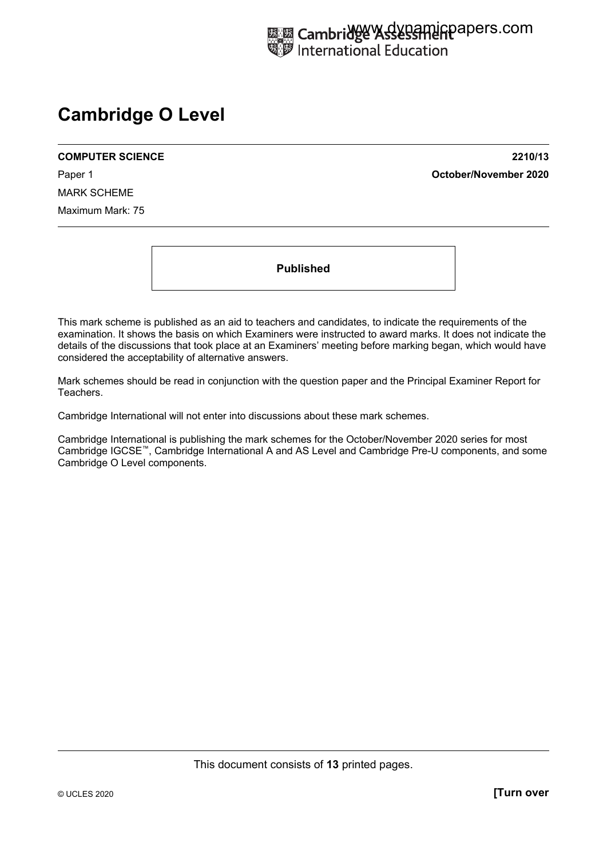# **Cambridge O Level**

**COMPUTER SCIENCE 2210/13** 

Paper 1 **October/November 2020**

MARK SCHEME Maximum Mark: 75

**Published** 

This mark scheme is published as an aid to teachers and candidates, to indicate the requirements of the examination. It shows the basis on which Examiners were instructed to award marks. It does not indicate the details of the discussions that took place at an Examiners' meeting before marking began, which would have considered the acceptability of alternative answers.

Mark schemes should be read in conjunction with the question paper and the Principal Examiner Report for Teachers.

Cambridge International will not enter into discussions about these mark schemes.

Cambridge International is publishing the mark schemes for the October/November 2020 series for most Cambridge IGCSE™, Cambridge International A and AS Level and Cambridge Pre-U components, and some Cambridge O Level components.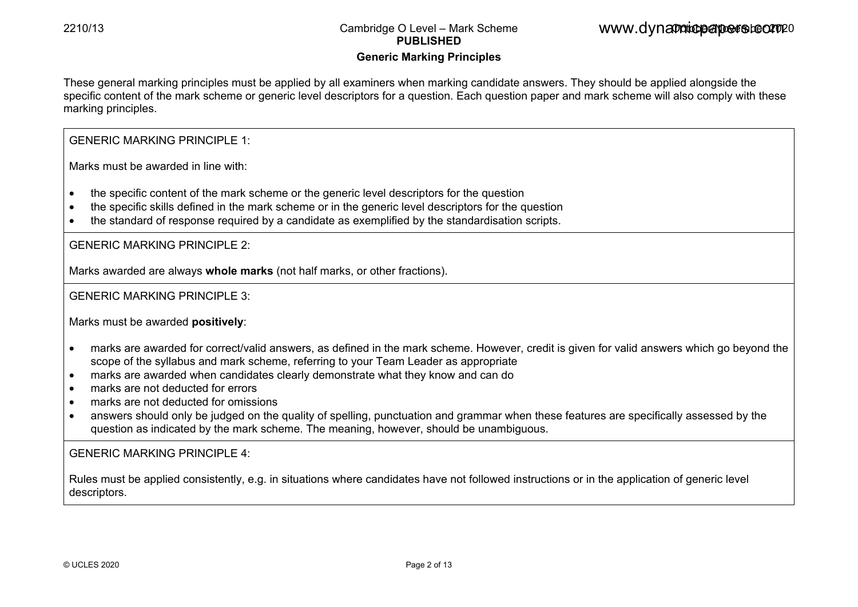### **Generic Marking Principles**

These general marking principles must be applied by all examiners when marking candidate answers. They should be applied alongside the specific content of the mark scheme or generic level descriptors for a question. Each question paper and mark scheme will also comply with these marking principles.

GENERIC MARKING PRINCIPLE 1:

Marks must be awarded in line with:

- the specific content of the mark scheme or the generic level descriptors for the question
- the specific skills defined in the mark scheme or in the generic level descriptors for the question
- the standard of response required by a candidate as exemplified by the standardisation scripts.

GENERIC MARKING PRINCIPLE 2:

Marks awarded are always **whole marks** (not half marks, or other fractions).

GENERIC MARKING PRINCIPLE 3:

Marks must be awarded **positively**:

- marks are awarded for correct/valid answers, as defined in the mark scheme. However, credit is given for valid answers which go beyond the scope of the syllabus and mark scheme, referring to your Team Leader as appropriate
- marks are awarded when candidates clearly demonstrate what they know and can do
- marks are not deducted for errors
- marks are not deducted for omissions
- answers should only be judged on the quality of spelling, punctuation and grammar when these features are specifically assessed by the question as indicated by the mark scheme. The meaning, however, should be unambiguous.

GENERIC MARKING PRINCIPLE  $4$ 

Rules must be applied consistently, e.g. in situations where candidates have not followed instructions or in the application of generic level descriptors.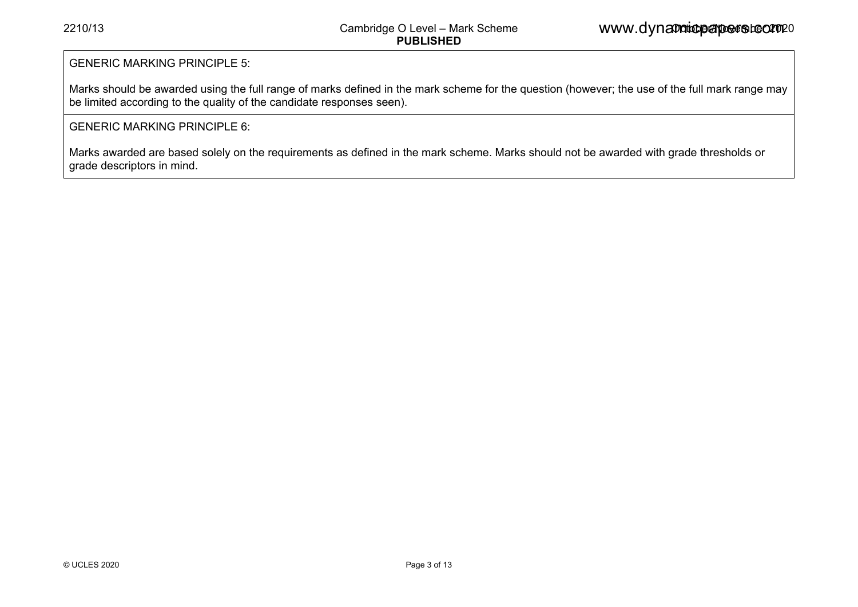#### GENERIC MARKING PRINCIPLE 5:

Marks should be awarded using the full range of marks defined in the mark scheme for the question (however; the use of the full mark range may be limited according to the quality of the candidate responses seen).

### GENERIC MARKING PRINCIPLE 6:

Marks awarded are based solely on the requirements as defined in the mark scheme. Marks should not be awarded with grade thresholds or grade descriptors in mind.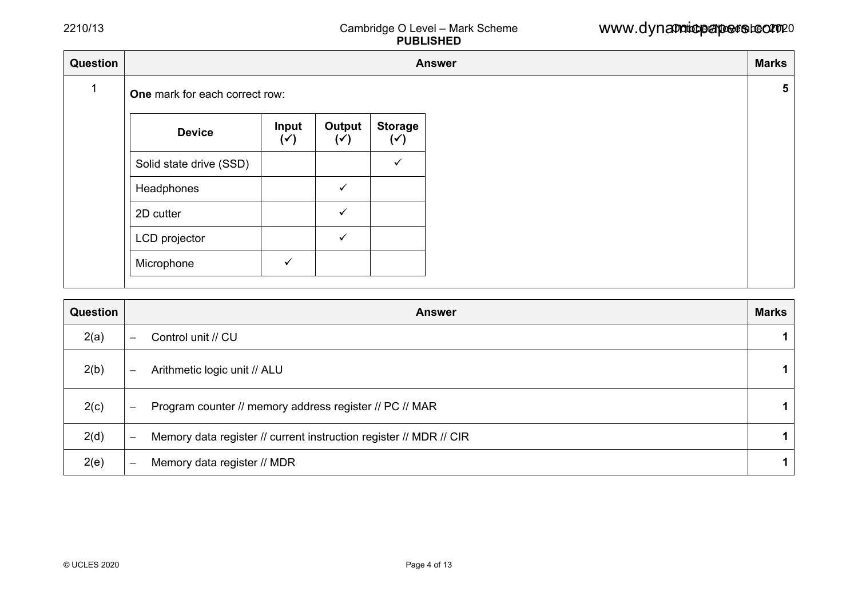| Question |                                |                         |                          | <b>Answer</b>                    |
|----------|--------------------------------|-------------------------|--------------------------|----------------------------------|
|          | One mark for each correct row: |                         |                          |                                  |
|          | <b>Device</b>                  | Input<br>$(\checkmark)$ | Output<br>$(\checkmark)$ | <b>Storage</b><br>$(\checkmark)$ |
|          | Solid state drive (SSD)        |                         |                          | $\checkmark$                     |
|          | Headphones                     |                         | $\checkmark$             |                                  |
|          | 2D cutter                      |                         | $\checkmark$             |                                  |
|          | LCD projector                  |                         | $\checkmark$             |                                  |
|          | Microphone                     | $\checkmark$            |                          |                                  |

| Question | <b>Answer</b>                                                                                  | <b>Marks</b> |
|----------|------------------------------------------------------------------------------------------------|--------------|
| 2(a)     | Control unit // CU<br>$\overline{\phantom{m}}$                                                 |              |
| 2(b)     | Arithmetic logic unit // ALU<br>$\overline{\phantom{m}}$                                       |              |
| 2(c)     | Program counter // memory address register // PC // MAR<br>$\overline{\phantom{m}}$            |              |
| 2(d)     | Memory data register // current instruction register // MDR // CIR<br>$\overline{\phantom{0}}$ |              |
| 2(e)     | Memory data register // MDR<br>$\overline{\phantom{0}}$                                        |              |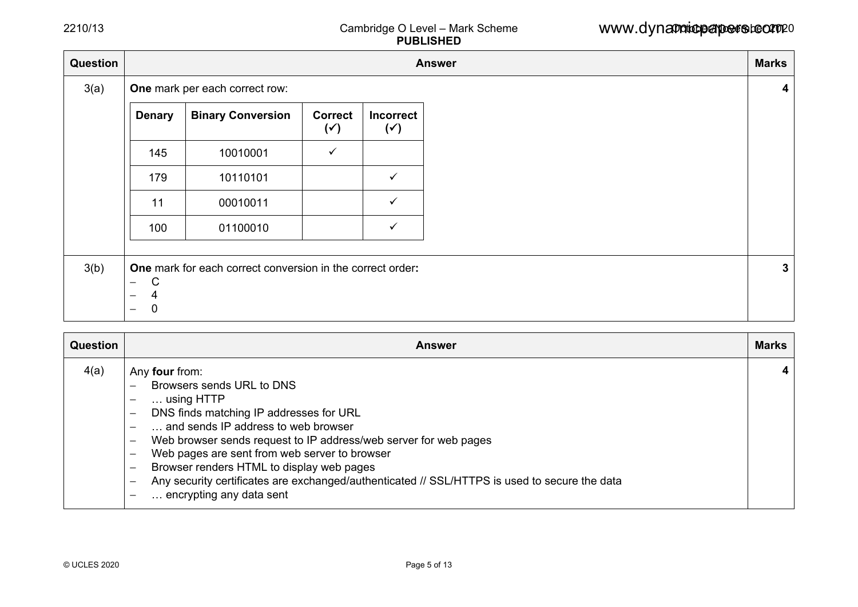| <b>Question</b> |                                                    |                                                            |                                  |                                    | <b>Answer</b> | <b>Marks</b> |
|-----------------|----------------------------------------------------|------------------------------------------------------------|----------------------------------|------------------------------------|---------------|--------------|
| 3(a)            |                                                    | One mark per each correct row:                             |                                  |                                    |               |              |
|                 | <b>Denary</b>                                      | <b>Binary Conversion</b>                                   | <b>Correct</b><br>$(\check{ }')$ | <b>Incorrect</b><br>$(\check{ }')$ |               |              |
|                 | 145                                                | 10010001                                                   | $\checkmark$                     |                                    |               |              |
|                 | 179                                                | 10110101                                                   |                                  | $\checkmark$                       |               |              |
|                 | 11                                                 | 00010011                                                   |                                  | $\checkmark$                       |               |              |
|                 | 100                                                | 01100010                                                   |                                  | $\checkmark$                       |               |              |
|                 |                                                    |                                                            |                                  |                                    |               |              |
| 3(b)            | $\mathsf{C}$<br>$\overline{\phantom{0}}$<br>4<br>— | One mark for each correct conversion in the correct order: |                                  |                                    |               |              |
|                 | $\mathbf 0$<br>$\qquad \qquad -$                   |                                                            |                                  |                                    |               |              |

| Question | <b>Answer</b>                                                                                                                                                                                                                                                                                                                                                                                                                                                                                                                                                                             | <b>Marks</b> |
|----------|-------------------------------------------------------------------------------------------------------------------------------------------------------------------------------------------------------------------------------------------------------------------------------------------------------------------------------------------------------------------------------------------------------------------------------------------------------------------------------------------------------------------------------------------------------------------------------------------|--------------|
| 4(a)     | Any four from:<br>Browsers sends URL to DNS<br>$\dots$ using HTTP<br>$\overline{\phantom{0}}$<br>DNS finds matching IP addresses for URL<br>$\qquad \qquad -$<br>and sends IP address to web browser<br>Web browser sends request to IP address/web server for web pages<br>Web pages are sent from web server to browser<br>$\overline{\phantom{0}}$<br>Browser renders HTML to display web pages<br>$\qquad \qquad -$<br>Any security certificates are exchanged/authenticated // SSL/HTTPS is used to secure the data<br>$\overbrace{\phantom{123221111}}$<br>encrypting any data sent | 4            |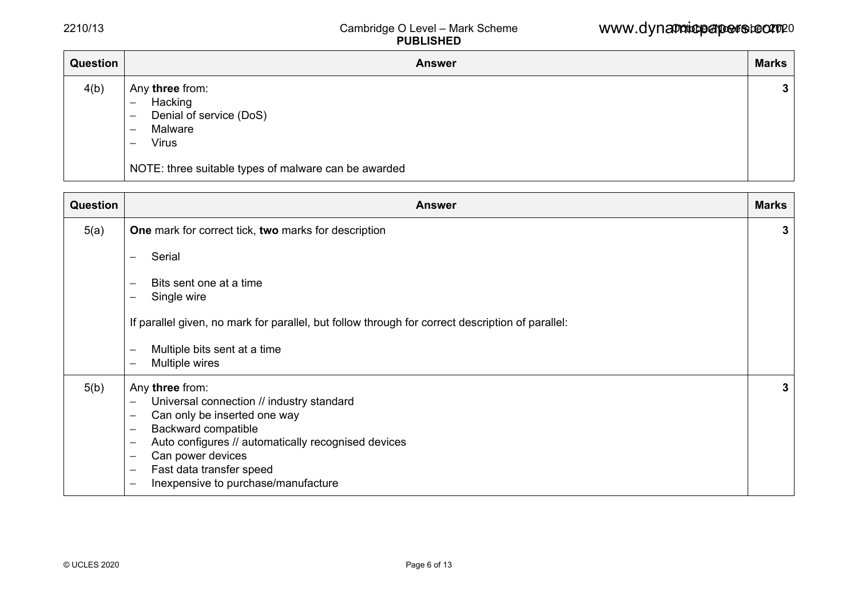| Question | <b>Answer</b>                                                                                                                                                                                                                                            | <b>Marks</b> |
|----------|----------------------------------------------------------------------------------------------------------------------------------------------------------------------------------------------------------------------------------------------------------|--------------|
| 4(b)     | Any three from:<br>Hacking<br>$\overline{\phantom{m}}$<br>Denial of service (DoS)<br>$\overline{\phantom{0}}$<br>Malware<br>$\overline{\phantom{m}}$<br><b>Virus</b><br>$\overline{\phantom{m}}$<br>NOTE: three suitable types of malware can be awarded | $\mathbf{3}$ |

| Question | <b>Answer</b>                                                                                                                                                                                                                                                                                         | <b>Marks</b> |
|----------|-------------------------------------------------------------------------------------------------------------------------------------------------------------------------------------------------------------------------------------------------------------------------------------------------------|--------------|
| 5(a)     | One mark for correct tick, two marks for description                                                                                                                                                                                                                                                  | 3            |
|          | Serial<br>$\overline{\phantom{0}}$                                                                                                                                                                                                                                                                    |              |
|          | Bits sent one at a time<br>$\overline{\phantom{0}}$<br>Single wire<br>—                                                                                                                                                                                                                               |              |
|          | If parallel given, no mark for parallel, but follow through for correct description of parallel:                                                                                                                                                                                                      |              |
|          | Multiple bits sent at a time<br>—<br>Multiple wires<br>—                                                                                                                                                                                                                                              |              |
| 5(b)     | Any three from:<br>Universal connection // industry standard<br>—<br>Can only be inserted one way<br>—<br>Backward compatible<br>—<br>Auto configures // automatically recognised devices<br>—<br>Can power devices<br>—<br>Fast data transfer speed<br>—<br>Inexpensive to purchase/manufacture<br>— | 3            |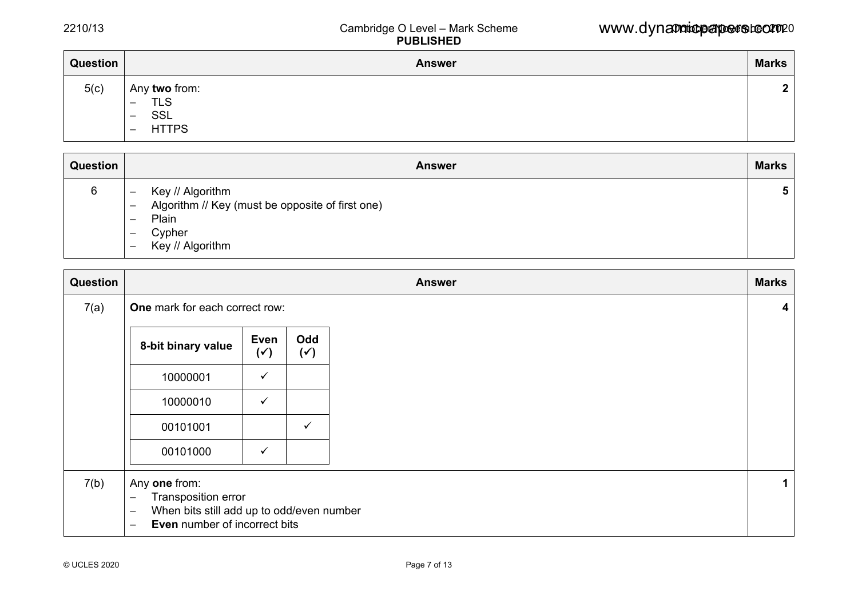| Question | <b>Answer</b>                                                                                                                   | <b>Marks</b> |
|----------|---------------------------------------------------------------------------------------------------------------------------------|--------------|
| 5(c)     | Any two from:<br><b>TLS</b><br>$\overline{\phantom{m}}$<br><b>SSL</b><br>$\qquad \qquad -$<br><b>HTTPS</b><br>$\qquad \qquad -$ | $\mathbf{2}$ |

| Question | <b>Answer</b>                                                                                                                                                                                                             | <b>Marks</b> |
|----------|---------------------------------------------------------------------------------------------------------------------------------------------------------------------------------------------------------------------------|--------------|
| 6        | Key // Algorithm<br>$\overline{\phantom{0}}$<br>Algorithm // Key (must be opposite of first one)<br>$\overline{\phantom{m}}$<br>Plain<br>$\overline{\phantom{0}}$<br>Cypher<br>—<br>Key // Algorithm<br>$\qquad \qquad -$ | Ð            |

| Question |                                                                                                                                                                                                        |                        |                       | <b>Answer</b> | <b>Marks</b>            |
|----------|--------------------------------------------------------------------------------------------------------------------------------------------------------------------------------------------------------|------------------------|-----------------------|---------------|-------------------------|
| 7(a)     | One mark for each correct row:                                                                                                                                                                         |                        |                       |               | $\overline{\mathbf{4}}$ |
|          | 8-bit binary value                                                                                                                                                                                     | Even<br>$(\check{ }')$ | Odd<br>$(\check{ }')$ |               |                         |
|          | 10000001                                                                                                                                                                                               | $\checkmark$           |                       |               |                         |
|          | 10000010                                                                                                                                                                                               | $\checkmark$           |                       |               |                         |
|          | 00101001                                                                                                                                                                                               |                        | $\checkmark$          |               |                         |
|          | 00101000                                                                                                                                                                                               | $\checkmark$           |                       |               |                         |
| 7(b)     | Any one from:<br>Transposition error<br>$\overline{\phantom{m}}$<br>When bits still add up to odd/even number<br>$\overline{\phantom{m}}$<br>Even number of incorrect bits<br>$\overline{\phantom{0}}$ |                        |                       |               | 1                       |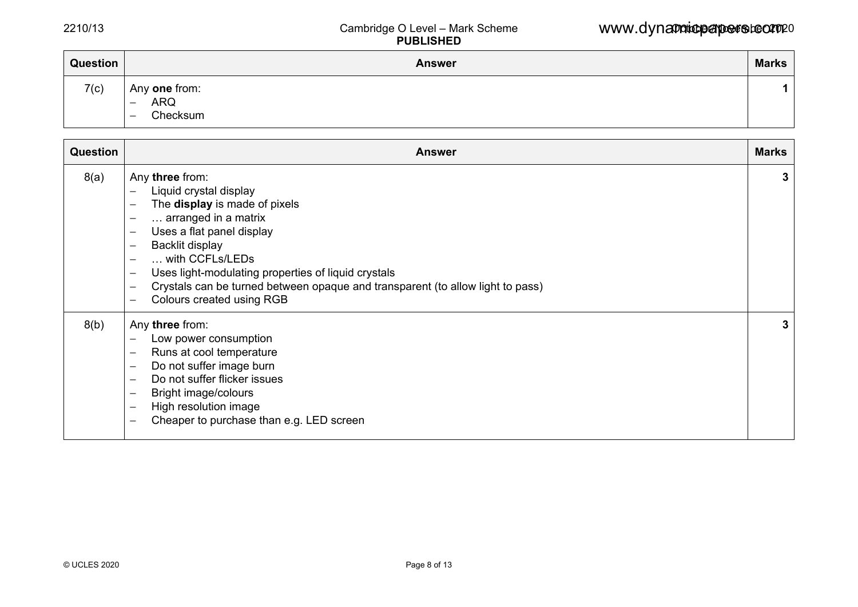| Question | <b>Answer</b>                                                | <b>Marks</b> |
|----------|--------------------------------------------------------------|--------------|
| 7(c)     | Any one from:<br><b>ARQ</b><br>$\qquad \qquad -$<br>Checksum |              |

| <b>Question</b> | <b>Answer</b>                                                                                                                                                                                                                                                                                                                                                                                                                                      | <b>Marks</b> |
|-----------------|----------------------------------------------------------------------------------------------------------------------------------------------------------------------------------------------------------------------------------------------------------------------------------------------------------------------------------------------------------------------------------------------------------------------------------------------------|--------------|
| 8(a)            | Any three from:<br>Liquid crystal display<br>The display is made of pixels<br>arranged in a matrix<br>$\qquad \qquad -$<br>Uses a flat panel display<br>$\qquad \qquad -$<br>Backlit display<br>with CCFLs/LEDs<br>Uses light-modulating properties of liquid crystals<br>$\qquad \qquad -$<br>Crystals can be turned between opaque and transparent (to allow light to pass)<br>$\qquad \qquad$<br>Colours created using RGB<br>$\qquad \qquad -$ | 3            |
| 8(b)            | Any three from:<br>Low power consumption<br>Runs at cool temperature<br>$\qquad \qquad -$<br>Do not suffer image burn<br>$\qquad \qquad -$<br>Do not suffer flicker issues<br>Bright image/colours<br>$\qquad \qquad -$<br>High resolution image<br>$\qquad \qquad -$<br>Cheaper to purchase than e.g. LED screen<br>$\qquad \qquad$                                                                                                               | 3            |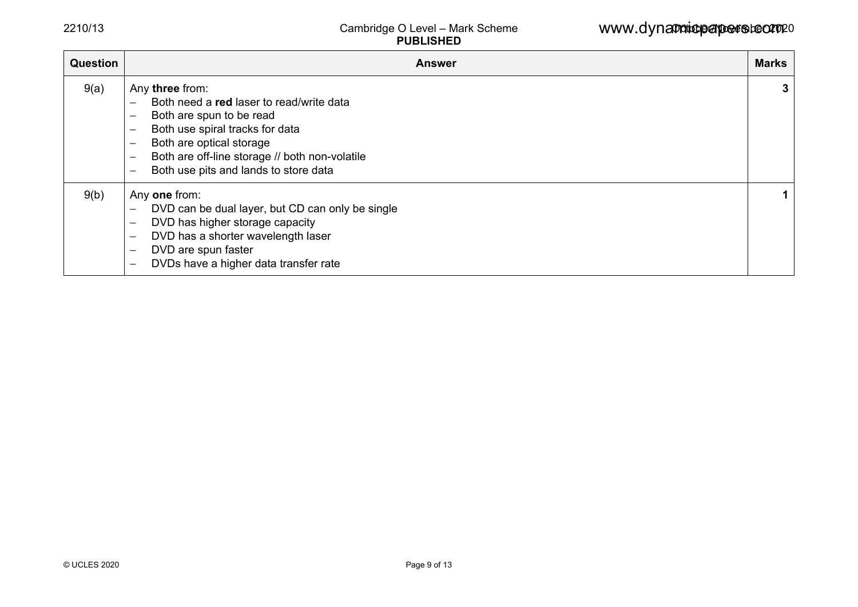| <b>Question</b> | Answer                                                                                                                                                                                                                                                                                                                                                                                        | <b>Marks</b> |
|-----------------|-----------------------------------------------------------------------------------------------------------------------------------------------------------------------------------------------------------------------------------------------------------------------------------------------------------------------------------------------------------------------------------------------|--------------|
| 9(a)            | Any three from:<br>Both need a red laser to read/write data<br>$\overline{\phantom{0}}$<br>Both are spun to be read<br>$\overline{\phantom{m}}$<br>Both use spiral tracks for data<br>$\overline{\phantom{0}}$<br>Both are optical storage<br>$\overline{\phantom{0}}$<br>Both are off-line storage // both non-volatile<br>$\overline{\phantom{0}}$<br>Both use pits and lands to store data | 3            |
| 9(b)            | Any one from:<br>DVD can be dual layer, but CD can only be single<br>$\overline{\phantom{0}}$<br>DVD has higher storage capacity<br>DVD has a shorter wavelength laser<br>$\qquad \qquad -$<br>DVD are spun faster<br>DVDs have a higher data transfer rate<br>$\overline{\phantom{m}}$                                                                                                       | 1.           |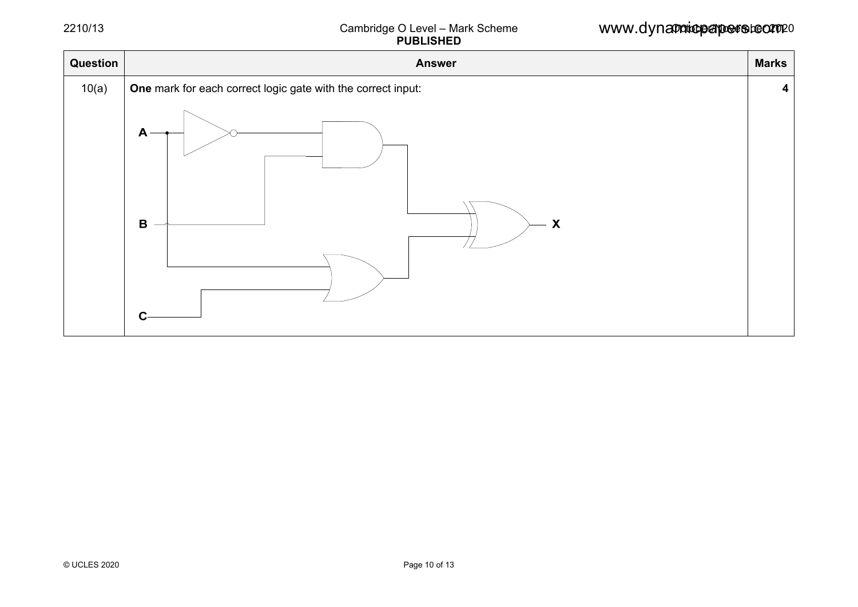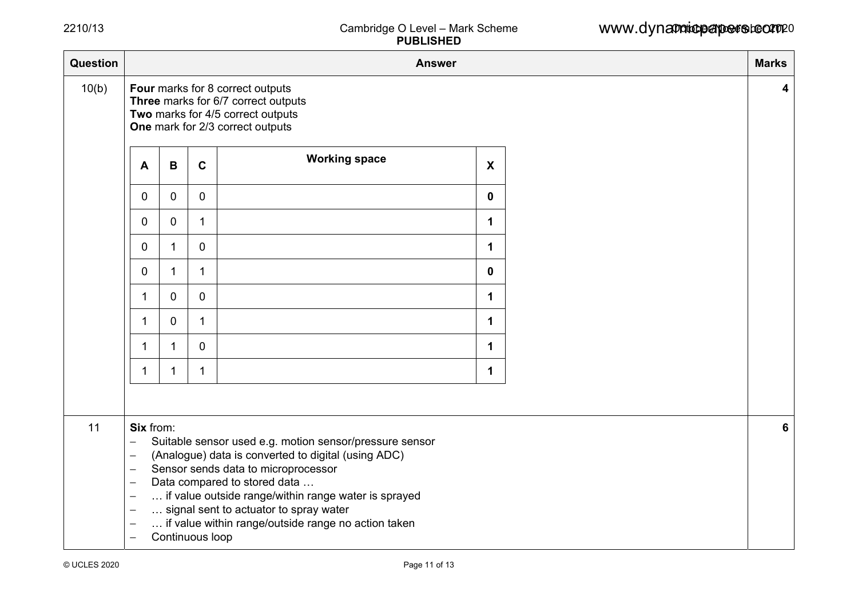| Question | <b>Answer</b>                                                                                                                                                                                                                                                                                                                                                                                                                                                                                                |              |              |                                                                                                                                                  |                           |  |   |  |
|----------|--------------------------------------------------------------------------------------------------------------------------------------------------------------------------------------------------------------------------------------------------------------------------------------------------------------------------------------------------------------------------------------------------------------------------------------------------------------------------------------------------------------|--------------|--------------|--------------------------------------------------------------------------------------------------------------------------------------------------|---------------------------|--|---|--|
| 10(b)    |                                                                                                                                                                                                                                                                                                                                                                                                                                                                                                              |              |              | Four marks for 8 correct outputs<br>Three marks for 6/7 correct outputs<br>Two marks for 4/5 correct outputs<br>One mark for 2/3 correct outputs |                           |  | 4 |  |
|          | $\mathsf{A}$                                                                                                                                                                                                                                                                                                                                                                                                                                                                                                 | B            | $\mathbf c$  | <b>Working space</b>                                                                                                                             | $\boldsymbol{\mathsf{X}}$ |  |   |  |
|          | 0                                                                                                                                                                                                                                                                                                                                                                                                                                                                                                            | 0            | $\mathbf 0$  |                                                                                                                                                  | $\mathbf 0$               |  |   |  |
|          | 0                                                                                                                                                                                                                                                                                                                                                                                                                                                                                                            | 0            | $\mathbf{1}$ |                                                                                                                                                  | 1                         |  |   |  |
|          | $\mathbf 0$                                                                                                                                                                                                                                                                                                                                                                                                                                                                                                  | $\mathbf 1$  | $\mathbf 0$  |                                                                                                                                                  | $\mathbf 1$               |  |   |  |
|          | $\mathbf 0$                                                                                                                                                                                                                                                                                                                                                                                                                                                                                                  | $\mathbf 1$  | $\mathbf{1}$ |                                                                                                                                                  | $\mathbf 0$               |  |   |  |
|          | 1                                                                                                                                                                                                                                                                                                                                                                                                                                                                                                            | 0            | 0            |                                                                                                                                                  | 1                         |  |   |  |
|          | $\mathbf{1}$                                                                                                                                                                                                                                                                                                                                                                                                                                                                                                 | 0            | $\mathbf{1}$ |                                                                                                                                                  | 1                         |  |   |  |
|          | $\mathbf 1$                                                                                                                                                                                                                                                                                                                                                                                                                                                                                                  | $\mathbf{1}$ | 0            |                                                                                                                                                  | 1                         |  |   |  |
|          | 1                                                                                                                                                                                                                                                                                                                                                                                                                                                                                                            | 1            | 1            |                                                                                                                                                  | 1                         |  |   |  |
|          |                                                                                                                                                                                                                                                                                                                                                                                                                                                                                                              |              |              |                                                                                                                                                  |                           |  |   |  |
| 11       | Six from:<br>Suitable sensor used e.g. motion sensor/pressure sensor<br>$\overline{\phantom{0}}$<br>(Analogue) data is converted to digital (using ADC)<br>$\qquad \qquad -$<br>Sensor sends data to microprocessor<br>Data compared to stored data<br>$\overline{\phantom{m}}$<br>if value outside range/within range water is sprayed<br>$\qquad \qquad -$<br>signal sent to actuator to spray water<br>if value within range/outside range no action taken<br>Continuous loop<br>$\overline{\phantom{m}}$ |              |              |                                                                                                                                                  |                           |  |   |  |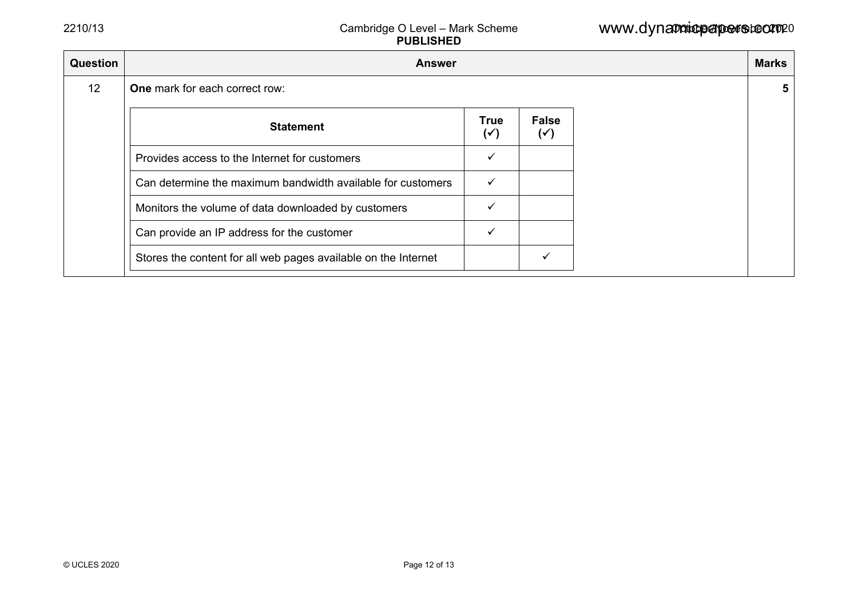| <b>Question</b> | <b>Answer</b>                                                  |                               |                                |  |  |  |  |  |
|-----------------|----------------------------------------------------------------|-------------------------------|--------------------------------|--|--|--|--|--|
| 12              | One mark for each correct row:                                 |                               |                                |  |  |  |  |  |
|                 | <b>Statement</b>                                               | <b>True</b><br>$(\checkmark)$ | <b>False</b><br>$(\checkmark)$ |  |  |  |  |  |
|                 | Provides access to the Internet for customers                  |                               |                                |  |  |  |  |  |
|                 | Can determine the maximum bandwidth available for customers    | ✓                             |                                |  |  |  |  |  |
|                 | Monitors the volume of data downloaded by customers            |                               |                                |  |  |  |  |  |
|                 | Can provide an IP address for the customer                     |                               |                                |  |  |  |  |  |
|                 | Stores the content for all web pages available on the Internet |                               |                                |  |  |  |  |  |